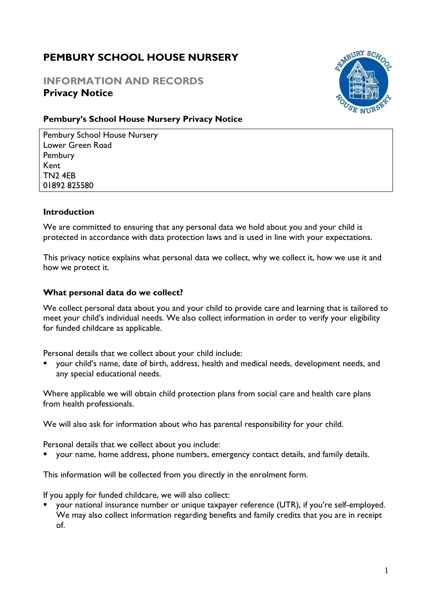# **PEMBURY SCHOOL HOUSE NURSERY**

# **INFORMATION AND RECORDS Privacy Notice**



# **Pembury's School House Nursery Privacy Notice**

Pembury School House Nursery Lower Green Road Pembury Kent TN2 4EB 01892 825580

#### **Introduction**

We are committed to ensuring that any personal data we hold about you and your child is protected in accordance with data protection laws and is used in line with your expectations.

This privacy notice explains what personal data we collect, why we collect it, how we use it and how we protect it.

## **What personal data do we collect?**

We collect personal data about you and your child to provide care and learning that is tailored to meet your child's individual needs. We also collect information in order to verify your eligibility for funded childcare as applicable.

Personal details that we collect about your child include:

▪ your child's name, date of birth, address, health and medical needs, development needs, and any special educational needs.

Where applicable we will obtain child protection plans from social care and health care plans from health professionals.

We will also ask for information about who has parental responsibility for your child.

Personal details that we collect about you include:

your name, home address, phone numbers, emergency contact details, and family details.

This information will be collected from you directly in the enrolment form.

If you apply for funded childcare, we will also collect:

your national insurance number or unique taxpayer reference (UTR), if you're self-employed. We may also collect information regarding benefits and family credits that you are in receipt of.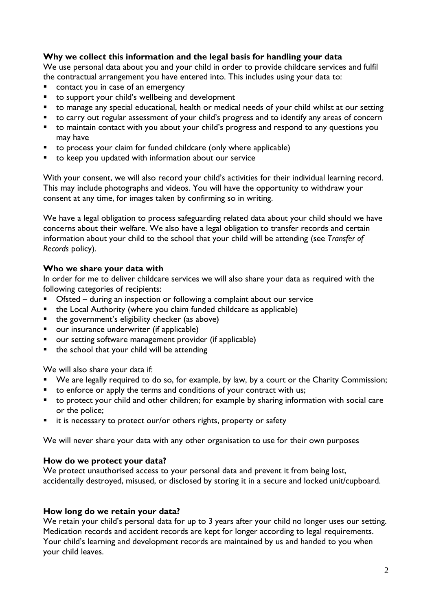# **Why we collect this information and the legal basis for handling your data**

We use personal data about you and your child in order to provide childcare services and fulfil the contractual arrangement you have entered into. This includes using your data to:

- contact you in case of an emergency
- to support your child's wellbeing and development
- to manage any special educational, health or medical needs of your child whilst at our setting
- to carry out regular assessment of your child's progress and to identify any areas of concern
- to maintain contact with you about your child's progress and respond to any questions you may have
- to process your claim for funded childcare (only where applicable)
- to keep you updated with information about our service

With your consent, we will also record your child's activities for their individual learning record. This may include photographs and videos. You will have the opportunity to withdraw your consent at any time, for images taken by confirming so in writing.

We have a legal obligation to process safeguarding related data about your child should we have concerns about their welfare. We also have a legal obligation to transfer records and certain information about your child to the school that your child will be attending (see *Transfer of Records* policy).

## **Who we share your data with**

In order for me to deliver childcare services we will also share your data as required with the following categories of recipients:

- Ofsted during an inspection or following a complaint about our service
- the Local Authority (where you claim funded childcare as applicable)
- the government's eligibility checker (as above)
- our insurance underwriter (if applicable)
- our setting software management provider (if applicable)
- the school that your child will be attending

We will also share your data if:

- We are legally required to do so, for example, by law, by a court or the Charity Commission;
- to enforce or apply the terms and conditions of your contract with us;
- to protect your child and other children; for example by sharing information with social care or the police;
- it is necessary to protect our/or others rights, property or safety

We will never share your data with any other organisation to use for their own purposes

#### **How do we protect your data?**

We protect unauthorised access to your personal data and prevent it from being lost, accidentally destroyed, misused, or disclosed by storing it in a secure and locked unit/cupboard.

# **How long do we retain your data?**

We retain your child's personal data for up to 3 years after your child no longer uses our setting. Medication records and accident records are kept for longer according to legal requirements. Your child's learning and development records are maintained by us and handed to you when your child leaves.